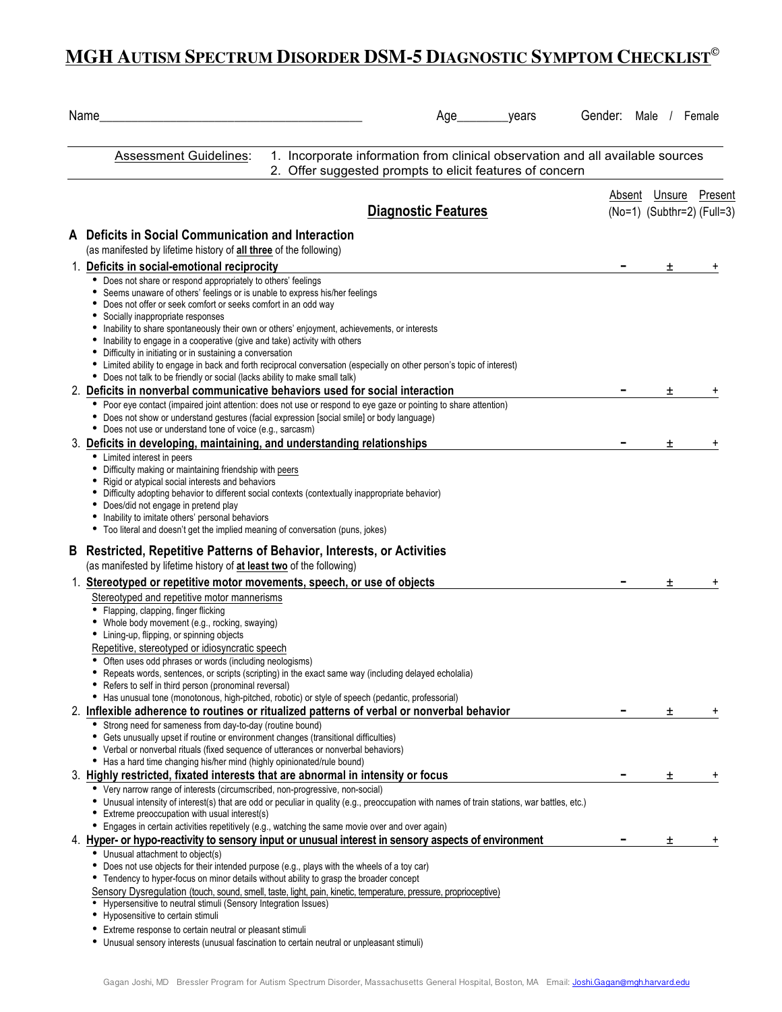## **MGH AUTISM SPECTRUM DISORDER DSM-5 DIAGNOSTIC SYMPTOM CHECKLIST©**

|   | Name                                                                                                                                                                                                                                                                                                                                                                                                                                                                                                                                                                                                                           | Gender: Male / Female |                            |    |
|---|--------------------------------------------------------------------------------------------------------------------------------------------------------------------------------------------------------------------------------------------------------------------------------------------------------------------------------------------------------------------------------------------------------------------------------------------------------------------------------------------------------------------------------------------------------------------------------------------------------------------------------|-----------------------|----------------------------|----|
|   | <b>Assessment Guidelines:</b><br>1. Incorporate information from clinical observation and all available sources<br>2. Offer suggested prompts to elicit features of concern                                                                                                                                                                                                                                                                                                                                                                                                                                                    |                       |                            |    |
|   |                                                                                                                                                                                                                                                                                                                                                                                                                                                                                                                                                                                                                                | Absent                | Unsure Present             |    |
|   | <b>Diagnostic Features</b>                                                                                                                                                                                                                                                                                                                                                                                                                                                                                                                                                                                                     |                       | (No=1) (Subthr=2) (Full=3) |    |
|   | A Deficits in Social Communication and Interaction                                                                                                                                                                                                                                                                                                                                                                                                                                                                                                                                                                             |                       |                            |    |
|   | (as manifested by lifetime history of all three of the following)                                                                                                                                                                                                                                                                                                                                                                                                                                                                                                                                                              |                       |                            |    |
|   | 1. Deficits in social-emotional reciprocity                                                                                                                                                                                                                                                                                                                                                                                                                                                                                                                                                                                    |                       | 土                          |    |
|   | • Does not share or respond appropriately to others' feelings<br>• Seems unaware of others' feelings or is unable to express his/her feelings<br>• Does not offer or seek comfort or seeks comfort in an odd way<br>• Socially inappropriate responses<br>• Inability to share spontaneously their own or others' enjoyment, achievements, or interests<br>• Inability to engage in a cooperative (give and take) activity with others<br>• Difficulty in initiating or in sustaining a conversation<br>• Limited ability to engage in back and forth reciprocal conversation (especially on other person's topic of interest) |                       |                            |    |
|   | • Does not talk to be friendly or social (lacks ability to make small talk)                                                                                                                                                                                                                                                                                                                                                                                                                                                                                                                                                    |                       |                            |    |
|   | 2. Deficits in nonverbal communicative behaviors used for social interaction<br>• Poor eye contact (impaired joint attention: does not use or respond to eye gaze or pointing to share attention)<br>• Does not show or understand gestures (facial expression [social smile] or body language)                                                                                                                                                                                                                                                                                                                                |                       | 土                          | +  |
|   | • Does not use or understand tone of voice (e.g., sarcasm)<br>3. Deficits in developing, maintaining, and understanding relationships                                                                                                                                                                                                                                                                                                                                                                                                                                                                                          |                       | 士                          |    |
|   | • Limited interest in peers<br>• Difficulty making or maintaining friendship with peers<br>• Rigid or atypical social interests and behaviors<br>• Difficulty adopting behavior to different social contexts (contextually inappropriate behavior)<br>• Does/did not engage in pretend play<br>• Inability to imitate others' personal behaviors<br>• Too literal and doesn't get the implied meaning of conversation (puns, jokes)                                                                                                                                                                                            |                       |                            |    |
| B | <b>Restricted, Repetitive Patterns of Behavior, Interests, or Activities</b><br>(as manifested by lifetime history of at least two of the following)                                                                                                                                                                                                                                                                                                                                                                                                                                                                           |                       |                            |    |
|   | 1. Stereotyped or repetitive motor movements, speech, or use of objects                                                                                                                                                                                                                                                                                                                                                                                                                                                                                                                                                        |                       | ±.                         | ۰, |
|   | Stereotyped and repetitive motor mannerisms<br>• Flapping, clapping, finger flicking<br>• Whole body movement (e.g., rocking, swaying)<br>• Lining-up, flipping, or spinning objects<br>Repetitive, stereotyped or idiosyncratic speech<br>• Often uses odd phrases or words (including neologisms)<br>Repeats words, sentences, or scripts (scripting) in the exact same way (including delayed echolalia)<br>• Refers to self in third person (pronominal reversal)                                                                                                                                                          |                       |                            |    |
|   | • Has unusual tone (monotonous, high-pitched, robotic) or style of speech (pedantic, professorial)<br>2. Inflexible adherence to routines or ritualized patterns of verbal or nonverbal behavior                                                                                                                                                                                                                                                                                                                                                                                                                               |                       | Ŧ.                         |    |
|   | • Strong need for sameness from day-to-day (routine bound)<br>• Gets unusually upset if routine or environment changes (transitional difficulties)<br>• Verbal or nonverbal rituals (fixed sequence of utterances or nonverbal behaviors)<br>• Has a hard time changing his/her mind (highly opinionated/rule bound)                                                                                                                                                                                                                                                                                                           |                       |                            |    |
|   | 3. Highly restricted, fixated interests that are abnormal in intensity or focus                                                                                                                                                                                                                                                                                                                                                                                                                                                                                                                                                |                       | 土                          | ٠  |
|   | • Very narrow range of interests (circumscribed, non-progressive, non-social)<br>• Unusual intensity of interest(s) that are odd or peculiar in quality (e.g., preoccupation with names of train stations, war battles, etc.)<br>• Extreme preoccupation with usual interest(s)<br>• Engages in certain activities repetitively (e.g., watching the same movie over and over again)                                                                                                                                                                                                                                            |                       |                            |    |
|   | 4. Hyper- or hypo-reactivity to sensory input or unusual interest in sensory aspects of environment<br>• Unusual attachment to object(s)                                                                                                                                                                                                                                                                                                                                                                                                                                                                                       |                       | Ŧ                          |    |
|   | • Does not use objects for their intended purpose (e.g., plays with the wheels of a toy car)<br>• Tendency to hyper-focus on minor details without ability to grasp the broader concept<br>Sensory Dysregulation (touch, sound, smell, taste, light, pain, kinetic, temperature, pressure, proprioceptive)<br>• Hypersensitive to neutral stimuli (Sensory Integration Issues)                                                                                                                                                                                                                                                 |                       |                            |    |
|   | • Hyposensitive to certain stimuli<br>• Extreme response to certain neutral or pleasant stimuli                                                                                                                                                                                                                                                                                                                                                                                                                                                                                                                                |                       |                            |    |
|   | • Unusual sensory interests (unusual fascination to certain neutral or unpleasant stimuli)                                                                                                                                                                                                                                                                                                                                                                                                                                                                                                                                     |                       |                            |    |